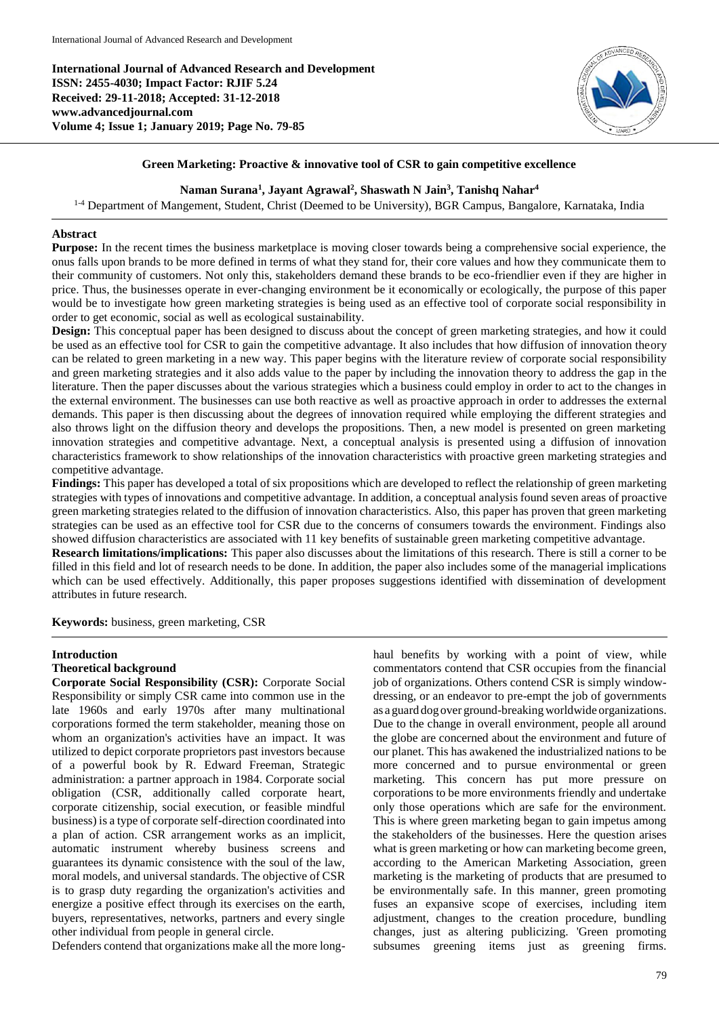**International Journal of Advanced Research and Development ISSN: 2455-4030; Impact Factor: RJIF 5.24 Received: 29-11-2018; Accepted: 31-12-2018 www.advancedjournal.com Volume 4; Issue 1; January 2019; Page No. 79-85**



## **Green Marketing: Proactive & innovative tool of CSR to gain competitive excellence**

**Naman Surana<sup>1</sup> , Jayant Agrawal<sup>2</sup> , Shaswath N Jain<sup>3</sup> , Tanishq Nahar<sup>4</sup>**

<sup>1-4</sup> Department of Mangement, Student, Christ (Deemed to be University), BGR Campus, Bangalore, Karnataka, India

## **Abstract**

**Purpose:** In the recent times the business marketplace is moving closer towards being a comprehensive social experience, the onus falls upon brands to be more defined in terms of what they stand for, their core values and how they communicate them to their community of customers. Not only this, stakeholders demand these brands to be eco-friendlier even if they are higher in price. Thus, the businesses operate in ever-changing environment be it economically or ecologically, the purpose of this paper would be to investigate how green marketing strategies is being used as an effective tool of corporate social responsibility in order to get economic, social as well as ecological sustainability.

**Design:** This conceptual paper has been designed to discuss about the concept of green marketing strategies, and how it could be used as an effective tool for CSR to gain the competitive advantage. It also includes that how diffusion of innovation theory can be related to green marketing in a new way. This paper begins with the literature review of corporate social responsibility and green marketing strategies and it also adds value to the paper by including the innovation theory to address the gap in the literature. Then the paper discusses about the various strategies which a business could employ in order to act to the changes in the external environment. The businesses can use both reactive as well as proactive approach in order to addresses the external demands. This paper is then discussing about the degrees of innovation required while employing the different strategies and also throws light on the diffusion theory and develops the propositions. Then, a new model is presented on green marketing innovation strategies and competitive advantage. Next, a conceptual analysis is presented using a diffusion of innovation characteristics framework to show relationships of the innovation characteristics with proactive green marketing strategies and competitive advantage.

**Findings:** This paper has developed a total of six propositions which are developed to reflect the relationship of green marketing strategies with types of innovations and competitive advantage. In addition, a conceptual analysis found seven areas of proactive green marketing strategies related to the diffusion of innovation characteristics. Also, this paper has proven that green marketing strategies can be used as an effective tool for CSR due to the concerns of consumers towards the environment. Findings also showed diffusion characteristics are associated with 11 key benefits of sustainable green marketing competitive advantage.

**Research limitations/implications:** This paper also discusses about the limitations of this research. There is still a corner to be filled in this field and lot of research needs to be done. In addition, the paper also includes some of the managerial implications which can be used effectively. Additionally, this paper proposes suggestions identified with dissemination of development attributes in future research.

**Keywords:** business, green marketing, CSR

## **Introduction**

## **Theoretical background**

**Corporate Social Responsibility (CSR):** Corporate Social Responsibility or simply CSR came into common use in the late 1960s and early 1970s after many multinational corporations formed the term stakeholder, meaning those on whom an organization's activities have an impact. It was utilized to depict corporate proprietors past investors because of a powerful book by R. Edward Freeman, Strategic administration: a partner approach in 1984. Corporate social obligation (CSR, additionally called corporate heart, corporate citizenship, social execution, or feasible mindful business) is a type of corporate self-direction coordinated into a plan of action. CSR arrangement works as an implicit, automatic instrument whereby business screens and guarantees its dynamic consistence with the soul of the law, moral models, and universal standards. The objective of CSR is to grasp duty regarding the organization's activities and energize a positive effect through its exercises on the earth, buyers, representatives, networks, partners and every single other individual from people in general circle.

Defenders contend that organizations make all the more long-

haul benefits by working with a point of view, while commentators contend that CSR occupies from the financial job of organizations. Others contend CSR is simply windowdressing, or an endeavor to pre-empt the job of governments as a guard dog over ground-breakingworldwide organizations. Due to the change in overall environment, people all around the globe are concerned about the environment and future of our planet. This has awakened the industrialized nations to be more concerned and to pursue environmental or green marketing. This concern has put more pressure on corporations to be more environments friendly and undertake only those operations which are safe for the environment. This is where green marketing began to gain impetus among the stakeholders of the businesses. Here the question arises what is green marketing or how can marketing become green, according to the American Marketing Association, green marketing is the marketing of products that are presumed to be environmentally safe. In this manner, green promoting fuses an expansive scope of exercises, including item adjustment, changes to the creation procedure, bundling changes, just as altering publicizing. 'Green promoting subsumes greening items just as greening firms.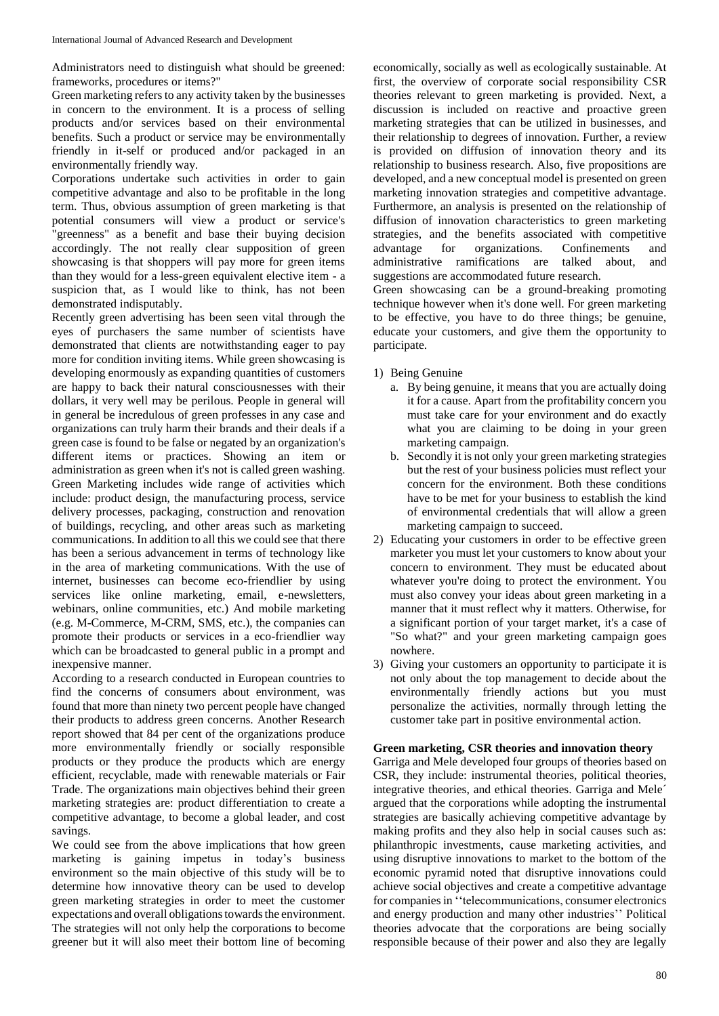Administrators need to distinguish what should be greened: frameworks, procedures or items?''

Green marketing refers to any activity taken by the businesses in concern to the environment. It is a process of selling products and/or services based on their environmental benefits. Such a product or service may be environmentally friendly in it-self or produced and/or packaged in an environmentally friendly way.

Corporations undertake such activities in order to gain competitive advantage and also to be profitable in the long term. Thus, obvious assumption of green marketing is that potential consumers will view a product or service's "greenness" as a benefit and base their buying decision accordingly. The not really clear supposition of green showcasing is that shoppers will pay more for green items than they would for a less-green equivalent elective item - a suspicion that, as I would like to think, has not been demonstrated indisputably.

Recently green advertising has been seen vital through the eyes of purchasers the same number of scientists have demonstrated that clients are notwithstanding eager to pay more for condition inviting items. While green showcasing is developing enormously as expanding quantities of customers are happy to back their natural consciousnesses with their dollars, it very well may be perilous. People in general will in general be incredulous of green professes in any case and organizations can truly harm their brands and their deals if a green case is found to be false or negated by an organization's different items or practices. Showing an item or administration as green when it's not is called green washing. Green Marketing includes wide range of activities which include: product design, the manufacturing process, service delivery processes, packaging, construction and renovation of buildings, recycling, and other areas such as marketing communications. In addition to all this we could see that there has been a serious advancement in terms of technology like in the area of marketing communications. With the use of internet, businesses can become eco-friendlier by using services like online marketing, email, e-newsletters, webinars, online communities, etc.) And mobile marketing (e.g. M-Commerce, M-CRM, SMS, etc.), the companies can promote their products or services in a eco-friendlier way which can be broadcasted to general public in a prompt and inexpensive manner.

According to a research conducted in European countries to find the concerns of consumers about environment, was found that more than ninety two percent people have changed their products to address green concerns. Another Research report showed that 84 per cent of the organizations produce more environmentally friendly or socially responsible products or they produce the products which are energy efficient, recyclable, made with renewable materials or Fair Trade. The organizations main objectives behind their green marketing strategies are: product differentiation to create a competitive advantage, to become a global leader, and cost savings.

We could see from the above implications that how green marketing is gaining impetus in today's business environment so the main objective of this study will be to determine how innovative theory can be used to develop green marketing strategies in order to meet the customer expectations and overall obligations towards the environment. The strategies will not only help the corporations to become greener but it will also meet their bottom line of becoming

economically, socially as well as ecologically sustainable. At first, the overview of corporate social responsibility CSR theories relevant to green marketing is provided. Next, a discussion is included on reactive and proactive green marketing strategies that can be utilized in businesses, and their relationship to degrees of innovation. Further, a review is provided on diffusion of innovation theory and its relationship to business research. Also, five propositions are developed, and a new conceptual model is presented on green marketing innovation strategies and competitive advantage. Furthermore, an analysis is presented on the relationship of diffusion of innovation characteristics to green marketing strategies, and the benefits associated with competitive advantage for organizations. Confinements and administrative ramifications are talked about, and suggestions are accommodated future research.

Green showcasing can be a ground-breaking promoting technique however when it's done well. For green marketing to be effective, you have to do three things; be genuine, educate your customers, and give them the opportunity to participate.

- 1) Being Genuine
	- a. By being genuine, it means that you are actually doing it for a cause. Apart from the profitability concern you must take care for your environment and do exactly what you are claiming to be doing in your green marketing campaign.
	- b. Secondly it is not only your green marketing strategies but the rest of your business policies must reflect your concern for the environment. Both these conditions have to be met for your business to establish the kind of environmental credentials that will allow a green marketing campaign to succeed.
- 2) Educating your customers in order to be effective green marketer you must let your customers to know about your concern to environment. They must be educated about whatever you're doing to protect the environment. You must also convey your ideas about green marketing in a manner that it must reflect why it matters. Otherwise, for a significant portion of your target market, it's a case of "So what?" and your green marketing campaign goes nowhere.
- 3) Giving your customers an opportunity to participate it is not only about the top management to decide about the environmentally friendly actions but you must personalize the activities, normally through letting the customer take part in positive environmental action.

## **Green marketing, CSR theories and innovation theory**

Garriga and Mele developed four groups of theories based on CSR, they include: instrumental theories, political theories, integrative theories, and ethical theories. Garriga and Mele´ argued that the corporations while adopting the instrumental strategies are basically achieving competitive advantage by making profits and they also help in social causes such as: philanthropic investments, cause marketing activities, and using disruptive innovations to market to the bottom of the economic pyramid noted that disruptive innovations could achieve social objectives and create a competitive advantage for companies in "telecommunications, consumer electronics and energy production and many other industries'' Political theories advocate that the corporations are being socially responsible because of their power and also they are legally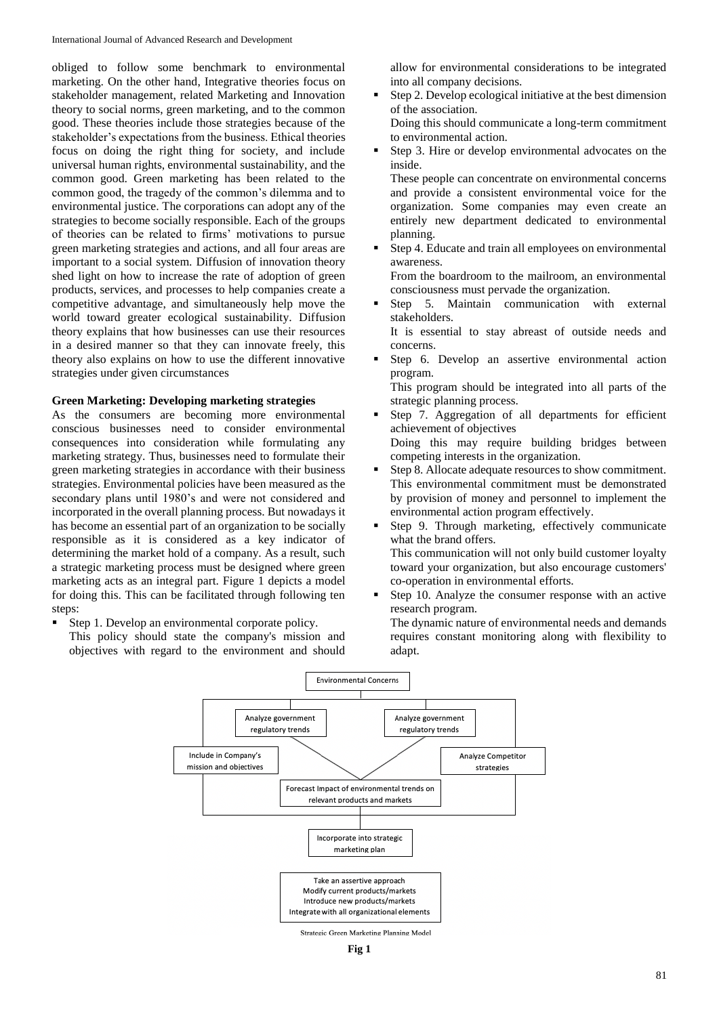obliged to follow some benchmark to environmental marketing. On the other hand, Integrative theories focus on stakeholder management, related Marketing and Innovation theory to social norms, green marketing, and to the common good. These theories include those strategies because of the stakeholder's expectations from the business. Ethical theories focus on doing the right thing for society, and include universal human rights, environmental sustainability, and the common good. Green marketing has been related to the common good, the tragedy of the common's dilemma and to environmental justice. The corporations can adopt any of the strategies to become socially responsible. Each of the groups of theories can be related to firms' motivations to pursue green marketing strategies and actions, and all four areas are important to a social system. Diffusion of innovation theory shed light on how to increase the rate of adoption of green products, services, and processes to help companies create a competitive advantage, and simultaneously help move the world toward greater ecological sustainability. Diffusion theory explains that how businesses can use their resources in a desired manner so that they can innovate freely, this theory also explains on how to use the different innovative strategies under given circumstances

## **Green Marketing: Developing marketing strategies**

As the consumers are becoming more environmental conscious businesses need to consider environmental consequences into consideration while formulating any marketing strategy. Thus, businesses need to formulate their green marketing strategies in accordance with their business strategies. Environmental policies have been measured as the secondary plans until 1980's and were not considered and incorporated in the overall planning process. But nowadays it has become an essential part of an organization to be socially responsible as it is considered as a key indicator of determining the market hold of a company. As a result, such a strategic marketing process must be designed where green marketing acts as an integral part. Figure 1 depicts a model for doing this. This can be facilitated through following ten steps:

- Step 1. Develop an environmental corporate policy.
	- This policy should state the company's mission and objectives with regard to the environment and should

allow for environmental considerations to be integrated into all company decisions.

 Step 2. Develop ecological initiative at the best dimension of the association.

Doing this should communicate a long-term commitment to environmental action.

 Step 3. Hire or develop environmental advocates on the inside.

These people can concentrate on environmental concerns and provide a consistent environmental voice for the organization. Some companies may even create an entirely new department dedicated to environmental planning.

 Step 4. Educate and train all employees on environmental awareness.

From the boardroom to the mailroom, an environmental consciousness must pervade the organization.

- Step 5. Maintain communication with external stakeholders.
- It is essential to stay abreast of outside needs and concerns.
- Step 6. Develop an assertive environmental action program.

This program should be integrated into all parts of the strategic planning process.

- Step 7. Aggregation of all departments for efficient achievement of objectives Doing this may require building bridges between competing interests in the organization.
- Step 8. Allocate adequate resources to show commitment. This environmental commitment must be demonstrated by provision of money and personnel to implement the environmental action program effectively.
- Step 9. Through marketing, effectively communicate what the brand offers. This communication will not only build customer loyalty toward your organization, but also encourage customers' co-operation in environmental efforts.
- Step 10. Analyze the consumer response with an active research program.

The dynamic nature of environmental needs and demands requires constant monitoring along with flexibility to adapt.



**Fig 1**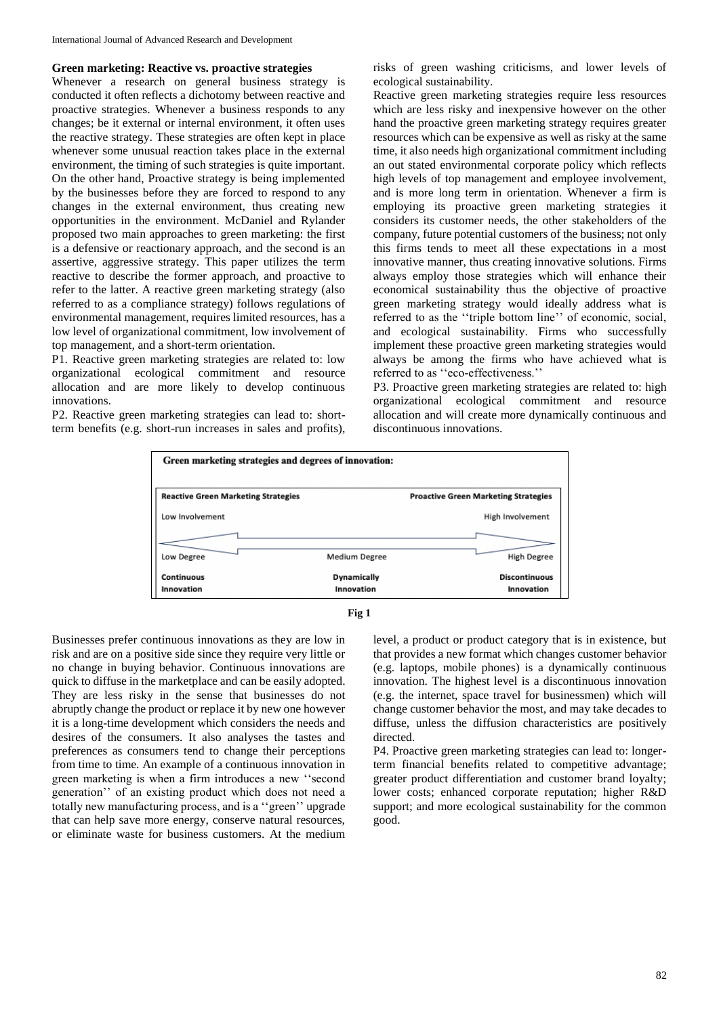## **Green marketing: Reactive vs. proactive strategies**

Whenever a research on general business strategy is conducted it often reflects a dichotomy between reactive and proactive strategies. Whenever a business responds to any changes; be it external or internal environment, it often uses the reactive strategy. These strategies are often kept in place whenever some unusual reaction takes place in the external environment, the timing of such strategies is quite important. On the other hand, Proactive strategy is being implemented by the businesses before they are forced to respond to any changes in the external environment, thus creating new opportunities in the environment. McDaniel and Rylander proposed two main approaches to green marketing: the first is a defensive or reactionary approach, and the second is an assertive, aggressive strategy. This paper utilizes the term reactive to describe the former approach, and proactive to refer to the latter. A reactive green marketing strategy (also referred to as a compliance strategy) follows regulations of environmental management, requires limited resources, has a low level of organizational commitment, low involvement of top management, and a short-term orientation.

P1. Reactive green marketing strategies are related to: low organizational ecological commitment and resource allocation and are more likely to develop continuous innovations.

P2. Reactive green marketing strategies can lead to: shortterm benefits (e.g. short-run increases in sales and profits),

risks of green washing criticisms, and lower levels of ecological sustainability.

Reactive green marketing strategies require less resources which are less risky and inexpensive however on the other hand the proactive green marketing strategy requires greater resources which can be expensive as well as risky at the same time, it also needs high organizational commitment including an out stated environmental corporate policy which reflects high levels of top management and employee involvement, and is more long term in orientation. Whenever a firm is employing its proactive green marketing strategies it considers its customer needs, the other stakeholders of the company, future potential customers of the business; not only this firms tends to meet all these expectations in a most innovative manner, thus creating innovative solutions. Firms always employ those strategies which will enhance their economical sustainability thus the objective of proactive green marketing strategy would ideally address what is referred to as the ''triple bottom line'' of economic, social, and ecological sustainability. Firms who successfully implement these proactive green marketing strategies would always be among the firms who have achieved what is referred to as ''eco-effectiveness.''

P3. Proactive green marketing strategies are related to: high organizational ecological commitment and resource allocation and will create more dynamically continuous and discontinuous innovations.





Businesses prefer continuous innovations as they are low in risk and are on a positive side since they require very little or no change in buying behavior. Continuous innovations are quick to diffuse in the marketplace and can be easily adopted. They are less risky in the sense that businesses do not abruptly change the product or replace it by new one however it is a long-time development which considers the needs and desires of the consumers. It also analyses the tastes and preferences as consumers tend to change their perceptions from time to time. An example of a continuous innovation in green marketing is when a firm introduces a new ''second generation'' of an existing product which does not need a totally new manufacturing process, and is a ''green'' upgrade that can help save more energy, conserve natural resources, or eliminate waste for business customers. At the medium

level, a product or product category that is in existence, but that provides a new format which changes customer behavior (e.g. laptops, mobile phones) is a dynamically continuous innovation. The highest level is a discontinuous innovation (e.g. the internet, space travel for businessmen) which will change customer behavior the most, and may take decades to diffuse, unless the diffusion characteristics are positively directed.

P4. Proactive green marketing strategies can lead to: longerterm financial benefits related to competitive advantage; greater product differentiation and customer brand loyalty; lower costs; enhanced corporate reputation; higher R&D support; and more ecological sustainability for the common good.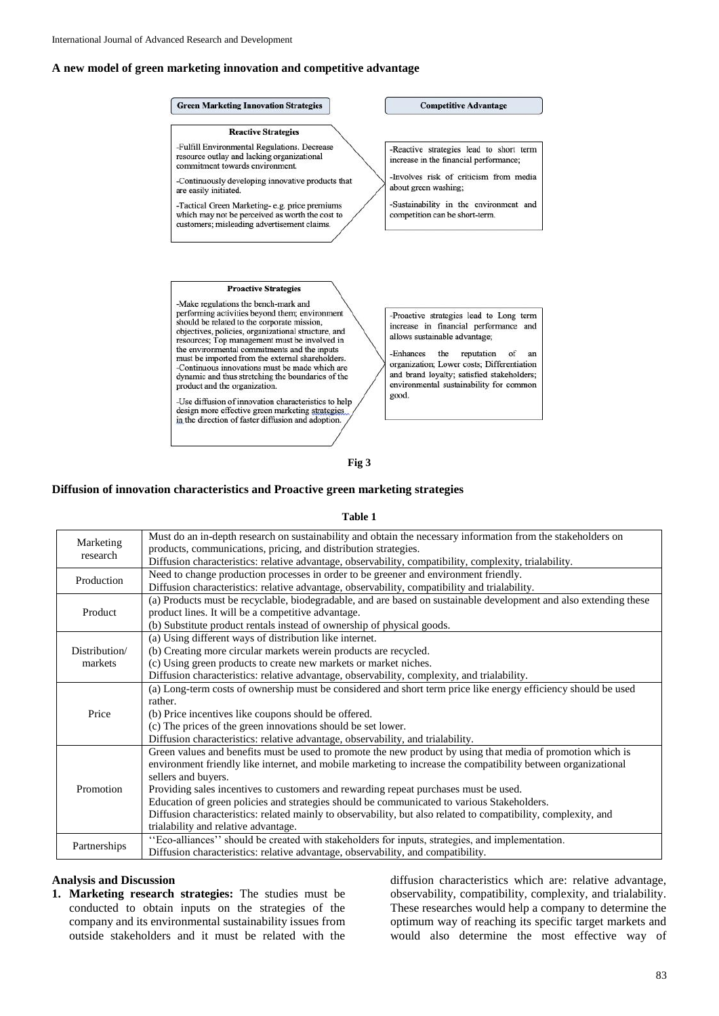## **A new model of green marketing innovation and competitive advantage**

#### **Green Marketing Innovation Strategies**

#### **Reactive Strategies**

-Fulfill Environmental Regulations. Decrease resource outlay and lacking organizational commitment towards environment.

-Continuously developing innovative products that are easily initiated.

-Tactical Green Marketing-e.g. price premiums<br>which may not be perceived as worth the cost to customers; misleading advertisement claims.

## **Competitive Advantage**

-Reactive strategies lead to short term increase in the financial performance; -Involves risk of criticism from media

about green washing:

-Sustainability in the environment and competition can be short-term.

## **Proactive Strategies**

-Make regulations the bench-mark and performing activities beyond them; environment<br>should be related to the corporate mission, objectives, policies, organizational structure, and resources; Top management must be involved in the environmental commitments and the inputs must be imported from the external shareholders. -Continuous innovations must be made which are dynamic and thus stretching the boundaries of the product and the organization.

-Use diffusion of innovation characteristics to help design more effective green marketing strategies in the direction of faster diffusion and adoption.

-Proactive strategies lead to Long term increase in financial performance and allows sustainable advantage;

-Enhances the reputation of an organization; Lower costs; Differentiation and brand loyalty; satisfied stakeholders; environmental sustainability for common good.

#### **Fig 3**

#### **Diffusion of innovation characteristics and Proactive green marketing strategies**

#### **Table 1**

| Marketing<br>research    | Must do an in-depth research on sustainability and obtain the necessary information from the stakeholders on<br>products, communications, pricing, and distribution strategies. |
|--------------------------|---------------------------------------------------------------------------------------------------------------------------------------------------------------------------------|
|                          | Diffusion characteristics: relative advantage, observability, compatibility, complexity, trialability.                                                                          |
| Production               | Need to change production processes in order to be greener and environment friendly.                                                                                            |
|                          | Diffusion characteristics: relative advantage, observability, compatibility and trialability.                                                                                   |
| Product                  | (a) Products must be recyclable, biodegradable, and are based on sustainable development and also extending these                                                               |
|                          | product lines. It will be a competitive advantage.                                                                                                                              |
|                          | (b) Substitute product rentals instead of ownership of physical goods.                                                                                                          |
| Distribution/<br>markets | (a) Using different ways of distribution like internet.                                                                                                                         |
|                          | (b) Creating more circular markets werein products are recycled.                                                                                                                |
|                          | (c) Using green products to create new markets or market niches.                                                                                                                |
|                          | Diffusion characteristics: relative advantage, observability, complexity, and trialability.                                                                                     |
| Price                    | (a) Long-term costs of ownership must be considered and short term price like energy efficiency should be used                                                                  |
|                          | rather.                                                                                                                                                                         |
|                          | (b) Price incentives like coupons should be offered.                                                                                                                            |
|                          | (c) The prices of the green innovations should be set lower.                                                                                                                    |
|                          | Diffusion characteristics: relative advantage, observability, and trialability.                                                                                                 |
| Promotion                | Green values and benefits must be used to promote the new product by using that media of promotion which is                                                                     |
|                          | environment friendly like internet, and mobile marketing to increase the compatibility between organizational                                                                   |
|                          | sellers and buyers.                                                                                                                                                             |
|                          | Providing sales incentives to customers and rewarding repeat purchases must be used.                                                                                            |
|                          | Education of green policies and strategies should be communicated to various Stakeholders.                                                                                      |
|                          | Diffusion characteristics: related mainly to observability, but also related to compatibility, complexity, and                                                                  |
|                          | trialability and relative advantage.                                                                                                                                            |
| Partnerships             | "Eco-alliances" should be created with stakeholders for inputs, strategies, and implementation.                                                                                 |
|                          | Diffusion characteristics: relative advantage, observability, and compatibility.                                                                                                |
|                          |                                                                                                                                                                                 |

#### **Analysis and Discussion**

**1. Marketing research strategies:** The studies must be conducted to obtain inputs on the strategies of the company and its environmental sustainability issues from outside stakeholders and it must be related with the

diffusion characteristics which are: relative advantage, observability, compatibility, complexity, and trialability. These researches would help a company to determine the optimum way of reaching its specific target markets and would also determine the most effective way of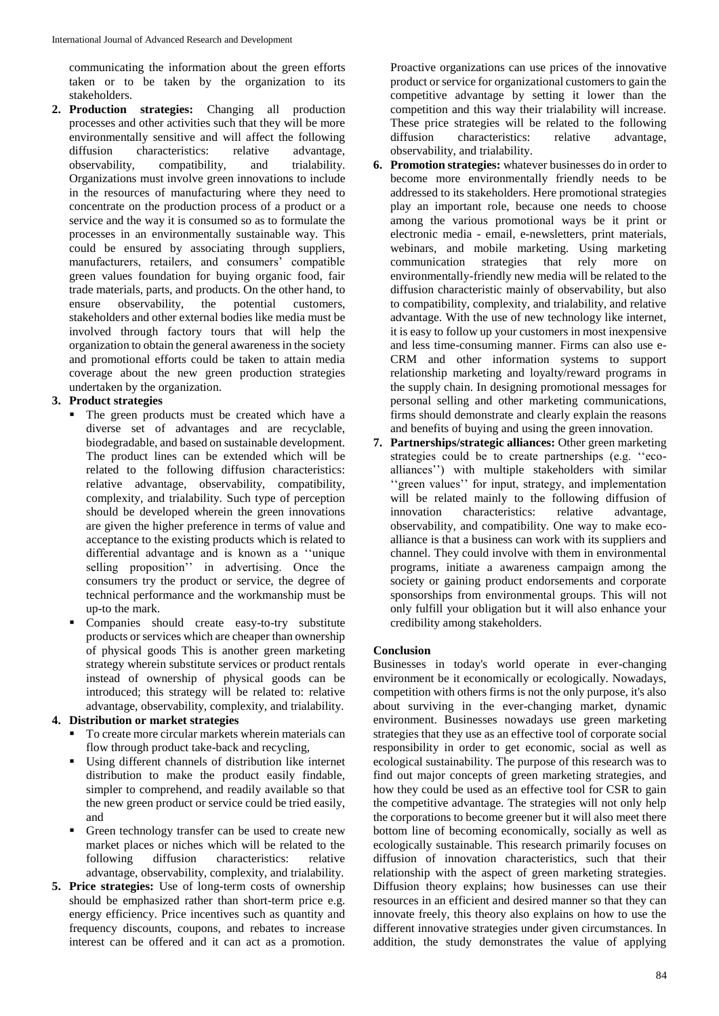communicating the information about the green efforts taken or to be taken by the organization to its stakeholders.

**2. Production strategies:** Changing all production processes and other activities such that they will be more environmentally sensitive and will affect the following<br>diffusion characteristics: relative advantage, diffusion characteristics: relative advantage, observability, compatibility, and trialability. Organizations must involve green innovations to include in the resources of manufacturing where they need to concentrate on the production process of a product or a service and the way it is consumed so as to formulate the processes in an environmentally sustainable way. This could be ensured by associating through suppliers, manufacturers, retailers, and consumers' compatible green values foundation for buying organic food, fair trade materials, parts, and products. On the other hand, to ensure observability, the potential customers, stakeholders and other external bodies like media must be involved through factory tours that will help the organization to obtain the general awareness in the society and promotional efforts could be taken to attain media coverage about the new green production strategies undertaken by the organization.

# **3. Product strategies**

- The green products must be created which have a diverse set of advantages and are recyclable, biodegradable, and based on sustainable development. The product lines can be extended which will be related to the following diffusion characteristics: relative advantage, observability, compatibility, complexity, and trialability. Such type of perception should be developed wherein the green innovations are given the higher preference in terms of value and acceptance to the existing products which is related to differential advantage and is known as a ''unique selling proposition'' in advertising. Once the consumers try the product or service, the degree of technical performance and the workmanship must be up-to the mark.
- Companies should create easy-to-try substitute products or services which are cheaper than ownership of physical goods This is another green marketing strategy wherein substitute services or product rentals instead of ownership of physical goods can be introduced; this strategy will be related to: relative advantage, observability, complexity, and trialability.

# **4. Distribution or market strategies**

- To create more circular markets wherein materials can flow through product take-back and recycling,
- Using different channels of distribution like internet distribution to make the product easily findable, simpler to comprehend, and readily available so that the new green product or service could be tried easily, and
- Green technology transfer can be used to create new market places or niches which will be related to the following diffusion characteristics: relative advantage, observability, complexity, and trialability.
- **5. Price strategies:** Use of long-term costs of ownership should be emphasized rather than short-term price e.g. energy efficiency. Price incentives such as quantity and frequency discounts, coupons, and rebates to increase interest can be offered and it can act as a promotion.

Proactive organizations can use prices of the innovative product or service for organizational customers to gain the competitive advantage by setting it lower than the competition and this way their trialability will increase. These price strategies will be related to the following<br>diffusion characteristics: relative advantage, characteristics: observability, and trialability.

- **6. Promotion strategies:** whatever businesses do in order to become more environmentally friendly needs to be addressed to its stakeholders. Here promotional strategies play an important role, because one needs to choose among the various promotional ways be it print or electronic media - email, e-newsletters, print materials, webinars, and mobile marketing. Using marketing<br>communication strategies that rely more on communication strategies that rely more on environmentally-friendly new media will be related to the diffusion characteristic mainly of observability, but also to compatibility, complexity, and trialability, and relative advantage. With the use of new technology like internet, it is easy to follow up your customers in most inexpensive and less time-consuming manner. Firms can also use e-CRM and other information systems to support relationship marketing and loyalty/reward programs in the supply chain. In designing promotional messages for personal selling and other marketing communications, firms should demonstrate and clearly explain the reasons and benefits of buying and using the green innovation.
- **7. Partnerships/strategic alliances:** Other green marketing strategies could be to create partnerships (e.g. ''ecoalliances'') with multiple stakeholders with similar ''green values'' for input, strategy, and implementation will be related mainly to the following diffusion of innovation characteristics: relative advantage. innovation characteristics: relative advantage, observability, and compatibility. One way to make ecoalliance is that a business can work with its suppliers and channel. They could involve with them in environmental programs, initiate a awareness campaign among the society or gaining product endorsements and corporate sponsorships from environmental groups. This will not only fulfill your obligation but it will also enhance your credibility among stakeholders.

# **Conclusion**

Businesses in today's world operate in ever-changing environment be it economically or ecologically. Nowadays, competition with others firms is not the only purpose, it's also about surviving in the ever-changing market, dynamic environment. Businesses nowadays use green marketing strategies that they use as an effective tool of corporate social responsibility in order to get economic, social as well as ecological sustainability. The purpose of this research was to find out major concepts of green marketing strategies, and how they could be used as an effective tool for CSR to gain the competitive advantage. The strategies will not only help the corporations to become greener but it will also meet there bottom line of becoming economically, socially as well as ecologically sustainable. This research primarily focuses on diffusion of innovation characteristics, such that their relationship with the aspect of green marketing strategies. Diffusion theory explains; how businesses can use their resources in an efficient and desired manner so that they can innovate freely, this theory also explains on how to use the different innovative strategies under given circumstances. In addition, the study demonstrates the value of applying